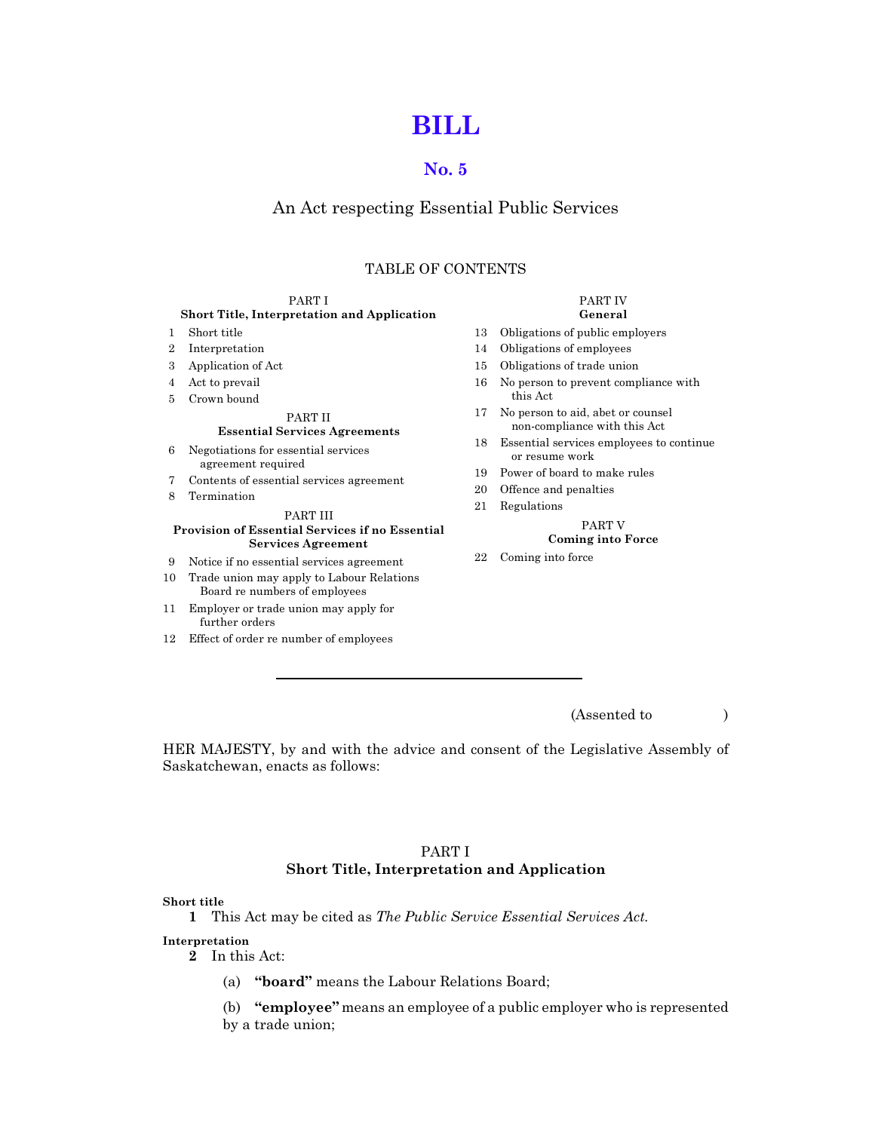# [BILL](http://www.qp.gov.sk.ca/documents/english/Chapters/2008/P42-2.pdf)

# [No. 5](http://www.qp.gov.sk.ca/documents/english/Chapters/2008/P42-2.pdf)

# An Act respecting Essential Public Services

# TABLE OF CONTENTS

| PART I                                                                                          |                                                                            |    | PART IV                                                           |
|-------------------------------------------------------------------------------------------------|----------------------------------------------------------------------------|----|-------------------------------------------------------------------|
| <b>Short Title, Interpretation and Application</b>                                              |                                                                            |    | General                                                           |
| $\mathbf{1}$                                                                                    | Short title                                                                | 13 | Obligations of public employers                                   |
| $\overline{2}$                                                                                  | Interpretation                                                             | 14 | Obligations of employees                                          |
| 3                                                                                               | Application of Act                                                         | 15 | Obligations of trade union                                        |
| 4                                                                                               | Act to prevail                                                             | 16 | No person to prevent compliance with                              |
| 5                                                                                               | Crown bound                                                                |    | this Act                                                          |
|                                                                                                 | <b>PART II</b><br><b>Essential Services Agreements</b>                     | 17 | No person to aid, abet or counsel<br>non-compliance with this Act |
| 6                                                                                               | Negotiations for essential services<br>agreement required                  | 18 | Essential services employees to continue<br>or resume work        |
| 7                                                                                               | Contents of essential services agreement                                   | 19 | Power of board to make rules                                      |
| 8                                                                                               | Termination                                                                | 20 | Offence and penalties                                             |
|                                                                                                 |                                                                            | 21 | Regulations                                                       |
| PART III<br><b>Provision of Essential Services if no Essential</b><br><b>Services Agreement</b> |                                                                            |    | PART V<br><b>Coming into Force</b>                                |
| 9                                                                                               | Notice if no essential services agreement                                  | 22 | Coming into force                                                 |
| 10                                                                                              | Trade union may apply to Labour Relations<br>Board re numbers of employees |    |                                                                   |
| 11                                                                                              | Employer or trade union may apply for<br>further orders                    |    |                                                                   |
| 12                                                                                              | Effect of order re number of employees                                     |    |                                                                   |

(Assented to )

HER MAJESTY, by and with the advice and consent of the Legislative Assembly of Saskatchewan, enacts as follows:

# PART I Short Title, Interpretation and Application

# Short title

1 This Act may be cited as The Public Service Essential Services Act.

Interpretation

2 In this Act:

(a) "board" means the Labour Relations Board;

(b) "employee" means an employee of a public employer who is represented by a trade union;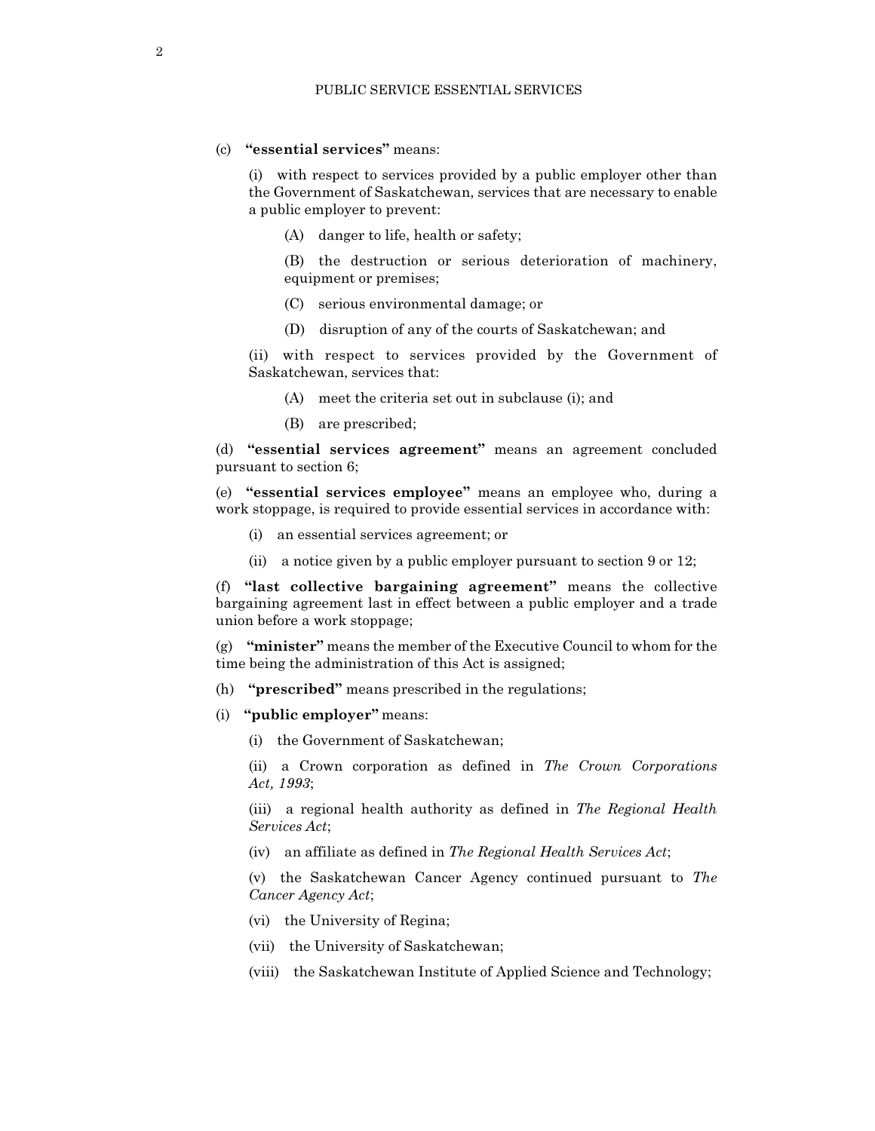# (c) "essential services" means:

(i) with respect to services provided by a public employer other than the Government of Saskatchewan, services that are necessary to enable a public employer to prevent:

- (A) danger to life, health or safety;
- (B) the destruction or serious deterioration of machinery, equipment or premises;
- (C) serious environmental damage; or
- (D) disruption of any of the courts of Saskatchewan; and

(ii) with respect to services provided by the Government of Saskatchewan, services that:

- (A) meet the criteria set out in subclause (i); and
- (B) are prescribed;

(d) "essential services agreement" means an agreement concluded pursuant to section 6;

(e) "essential services employee" means an employee who, during a work stoppage, is required to provide essential services in accordance with:

- (i) an essential services agreement; or
- (ii) a notice given by a public employer pursuant to section 9 or 12;

(f) "last collective bargaining agreement" means the collective bargaining agreement last in effect between a public employer and a trade union before a work stoppage;

(g) "minister" means the member of the Executive Council to whom for the time being the administration of this Act is assigned;

- (h) "prescribed" means prescribed in the regulations;
- (i) "public employer" means:
	- (i) the Government of Saskatchewan;
	- (ii) a Crown corporation as defined in The Crown Corporations Act, 1993;

(iii) a regional health authority as defined in The Regional Health Services Act;

(iv) an affiliate as defined in The Regional Health Services Act;

(v) the Saskatchewan Cancer Agency continued pursuant to The Cancer Agency Act;

- (vi) the University of Regina;
- (vii) the University of Saskatchewan;
- (viii) the Saskatchewan Institute of Applied Science and Technology;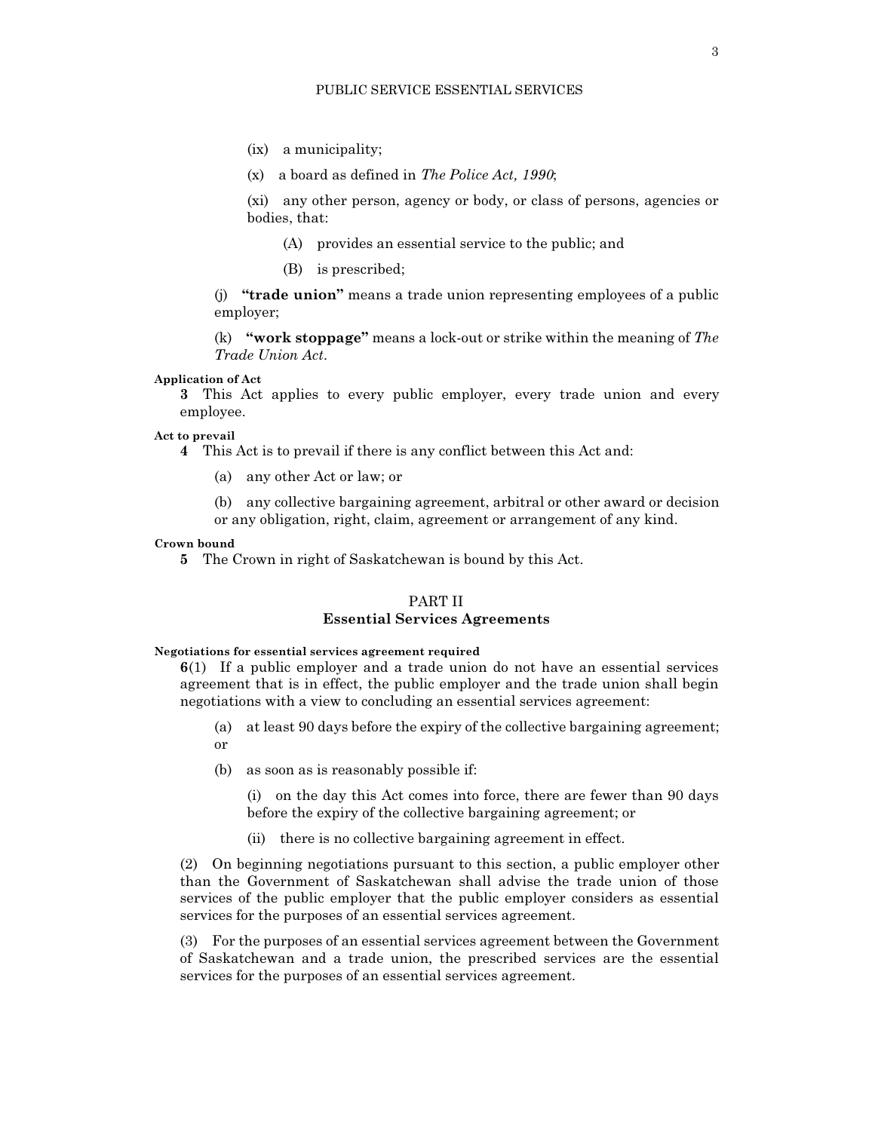- (ix) a municipality;
- (x) a board as defined in The Police Act, 1990;

(xi) any other person, agency or body, or class of persons, agencies or bodies, that:

- (A) provides an essential service to the public; and
- (B) is prescribed;

(j) "trade union" means a trade union representing employees of a public employer;

(k) "work stoppage" means a lock-out or strike within the meaning of  $The$ Trade Union Act.

## Application of Act

3 This Act applies to every public employer, every trade union and every employee.

#### Act to prevail

4 This Act is to prevail if there is any conflict between this Act and:

(a) any other Act or law; or

(b) any collective bargaining agreement, arbitral or other award or decision or any obligation, right, claim, agreement or arrangement of any kind.

## Crown bound

5 The Crown in right of Saskatchewan is bound by this Act.

#### PART II

# Essential Services Agreements

Negotiations for essential services agreement required

6(1) If a public employer and a trade union do not have an essential services agreement that is in effect, the public employer and the trade union shall begin negotiations with a view to concluding an essential services agreement:

- (a) at least 90 days before the expiry of the collective bargaining agreement; or
- (b) as soon as is reasonably possible if:

(i) on the day this Act comes into force, there are fewer than 90 days before the expiry of the collective bargaining agreement; or

(ii) there is no collective bargaining agreement in effect.

(2) On beginning negotiations pursuant to this section, a public employer other than the Government of Saskatchewan shall advise the trade union of those services of the public employer that the public employer considers as essential services for the purposes of an essential services agreement.

(3) For the purposes of an essential services agreement between the Government of Saskatchewan and a trade union, the prescribed services are the essential services for the purposes of an essential services agreement.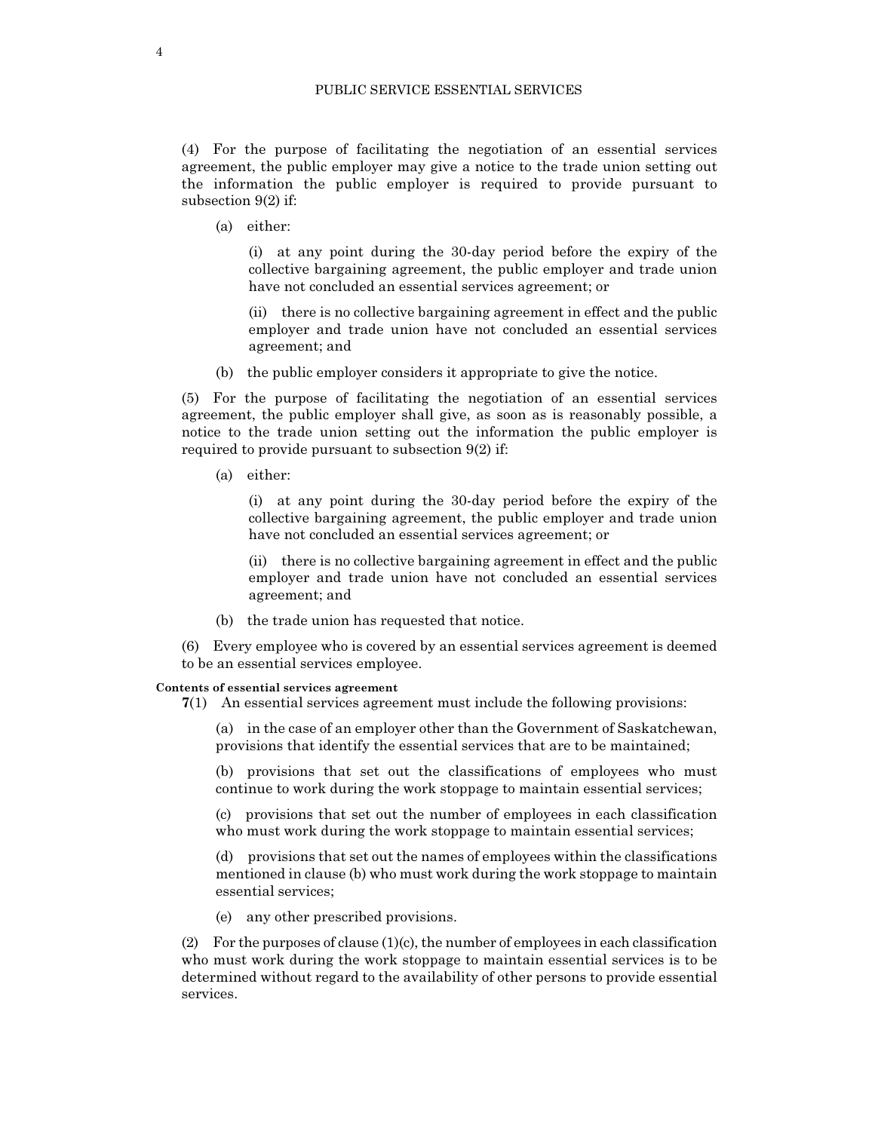(4) For the purpose of facilitating the negotiation of an essential services agreement, the public employer may give a notice to the trade union setting out the information the public employer is required to provide pursuant to subsection 9(2) if:

(a) either:

(i) at any point during the 30-day period before the expiry of the collective bargaining agreement, the public employer and trade union have not concluded an essential services agreement; or

(ii) there is no collective bargaining agreement in effect and the public employer and trade union have not concluded an essential services agreement; and

(b) the public employer considers it appropriate to give the notice.

(5) For the purpose of facilitating the negotiation of an essential services agreement, the public employer shall give, as soon as is reasonably possible, a notice to the trade union setting out the information the public employer is required to provide pursuant to subsection 9(2) if:

(a) either:

(i) at any point during the 30-day period before the expiry of the collective bargaining agreement, the public employer and trade union have not concluded an essential services agreement; or

(ii) there is no collective bargaining agreement in effect and the public employer and trade union have not concluded an essential services agreement; and

(b) the trade union has requested that notice.

(6) Every employee who is covered by an essential services agreement is deemed to be an essential services employee.

#### Contents of essential services agreement

7(1) An essential services agreement must include the following provisions:

(a) in the case of an employer other than the Government of Saskatchewan, provisions that identify the essential services that are to be maintained;

(b) provisions that set out the classifications of employees who must continue to work during the work stoppage to maintain essential services;

(c) provisions that set out the number of employees in each classification who must work during the work stoppage to maintain essential services;

(d) provisions that set out the names of employees within the classifications mentioned in clause (b) who must work during the work stoppage to maintain essential services;

(e) any other prescribed provisions.

(2) For the purposes of clause  $(1)(c)$ , the number of employees in each classification who must work during the work stoppage to maintain essential services is to be determined without regard to the availability of other persons to provide essential services.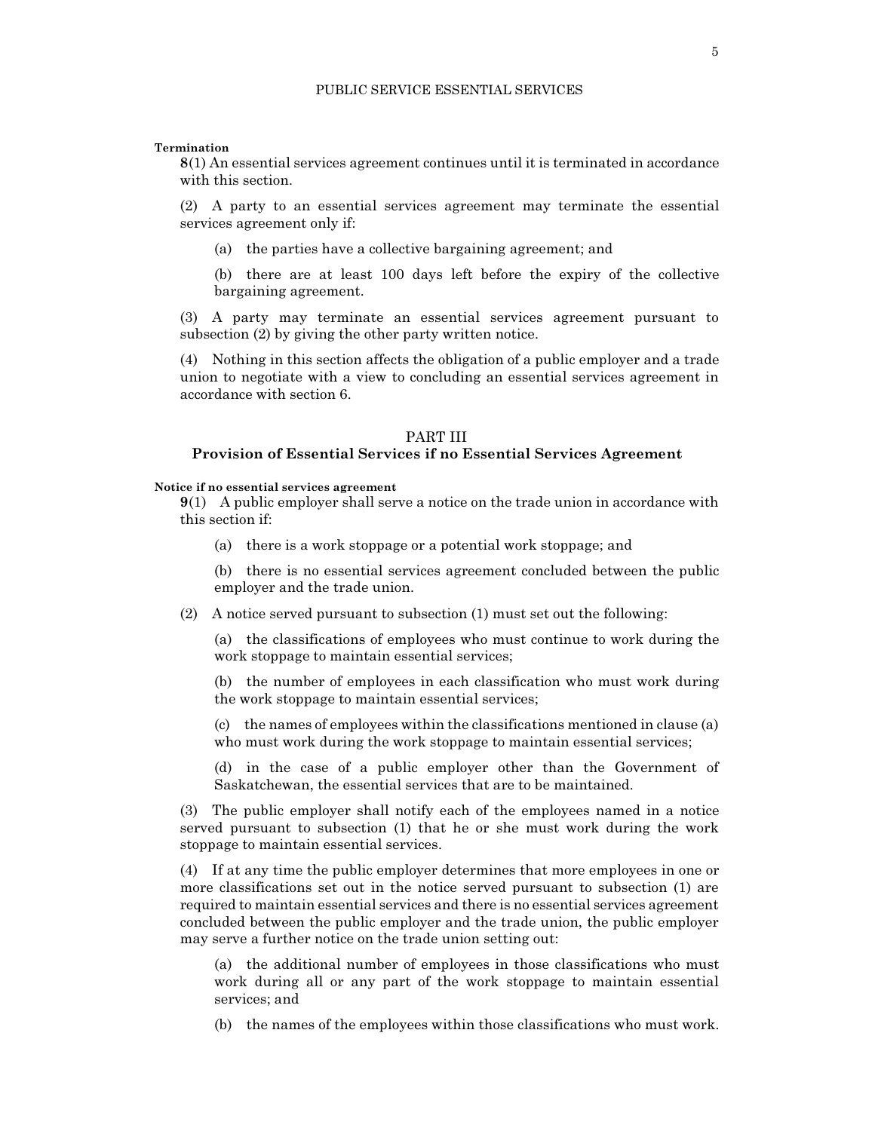#### Termination

8(1) An essential services agreement continues until it is terminated in accordance with this section.

(2) A party to an essential services agreement may terminate the essential services agreement only if:

- (a) the parties have a collective bargaining agreement; and
- (b) there are at least 100 days left before the expiry of the collective bargaining agreement.

(3) A party may terminate an essential services agreement pursuant to subsection (2) by giving the other party written notice.

(4) Nothing in this section affects the obligation of a public employer and a trade union to negotiate with a view to concluding an essential services agreement in accordance with section 6.

#### PART III

# Provision of Essential Services if no Essential Services Agreement

#### Notice if no essential services agreement

9(1) A public employer shall serve a notice on the trade union in accordance with this section if:

(a) there is a work stoppage or a potential work stoppage; and

(b) there is no essential services agreement concluded between the public employer and the trade union.

(2) A notice served pursuant to subsection (1) must set out the following:

(a) the classifications of employees who must continue to work during the work stoppage to maintain essential services;

(b) the number of employees in each classification who must work during the work stoppage to maintain essential services;

(c) the names of employees within the classifications mentioned in clause (a) who must work during the work stoppage to maintain essential services;

(d) in the case of a public employer other than the Government of Saskatchewan, the essential services that are to be maintained.

(3) The public employer shall notify each of the employees named in a notice served pursuant to subsection (1) that he or she must work during the work stoppage to maintain essential services.

(4) If at any time the public employer determines that more employees in one or more classifications set out in the notice served pursuant to subsection (1) are required to maintain essential services and there is no essential services agreement concluded between the public employer and the trade union, the public employer may serve a further notice on the trade union setting out:

(a) the additional number of employees in those classifications who must work during all or any part of the work stoppage to maintain essential services; and

(b) the names of the employees within those classifications who must work.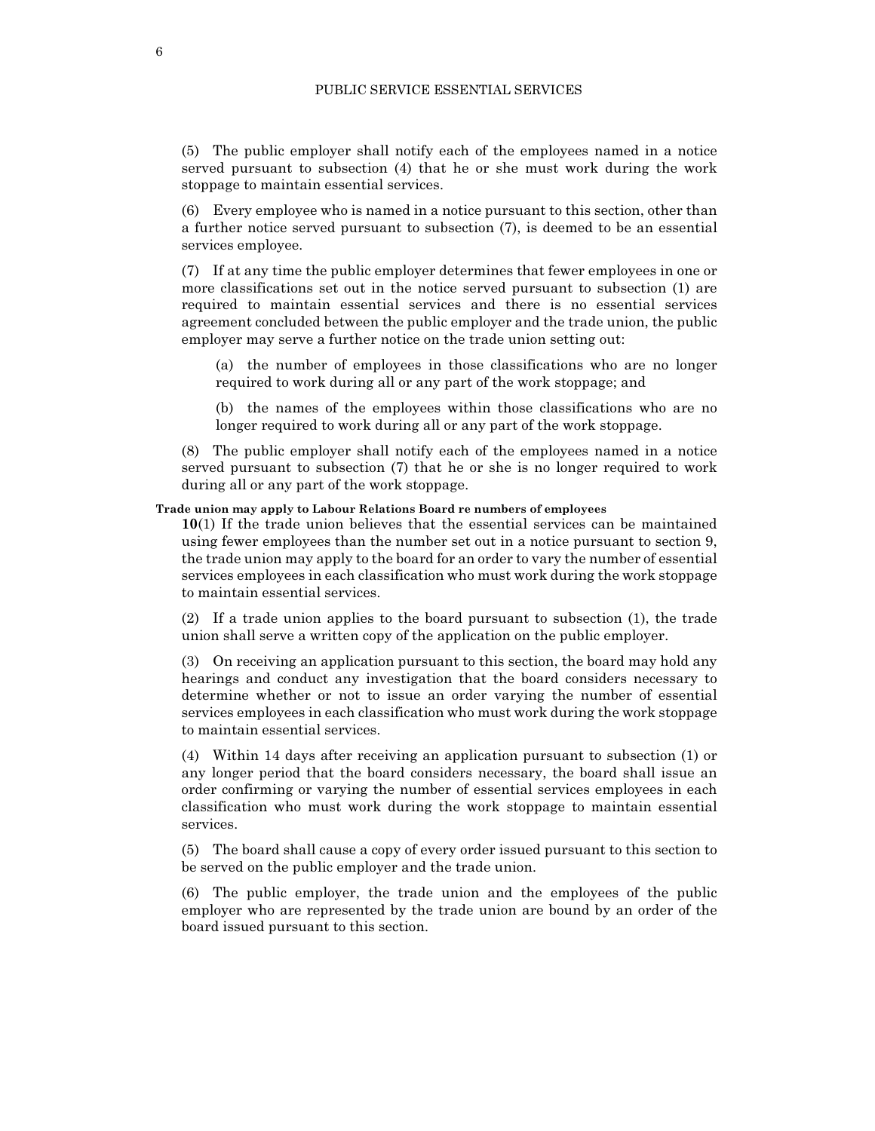(5) The public employer shall notify each of the employees named in a notice served pursuant to subsection (4) that he or she must work during the work stoppage to maintain essential services.

(6) Every employee who is named in a notice pursuant to this section, other than a further notice served pursuant to subsection (7), is deemed to be an essential services employee.

(7) If at any time the public employer determines that fewer employees in one or more classifications set out in the notice served pursuant to subsection (1) are required to maintain essential services and there is no essential services agreement concluded between the public employer and the trade union, the public employer may serve a further notice on the trade union setting out:

(a) the number of employees in those classifications who are no longer required to work during all or any part of the work stoppage; and

(b) the names of the employees within those classifications who are no longer required to work during all or any part of the work stoppage.

(8) The public employer shall notify each of the employees named in a notice served pursuant to subsection (7) that he or she is no longer required to work during all or any part of the work stoppage.

## Trade union may apply to Labour Relations Board re numbers of employees

10(1) If the trade union believes that the essential services can be maintained using fewer employees than the number set out in a notice pursuant to section 9, the trade union may apply to the board for an order to vary the number of essential services employees in each classification who must work during the work stoppage to maintain essential services.

(2) If a trade union applies to the board pursuant to subsection (1), the trade union shall serve a written copy of the application on the public employer.

(3) On receiving an application pursuant to this section, the board may hold any hearings and conduct any investigation that the board considers necessary to determine whether or not to issue an order varying the number of essential services employees in each classification who must work during the work stoppage to maintain essential services.

(4) Within 14 days after receiving an application pursuant to subsection (1) or any longer period that the board considers necessary, the board shall issue an order confirming or varying the number of essential services employees in each classification who must work during the work stoppage to maintain essential services.

(5) The board shall cause a copy of every order issued pursuant to this section to be served on the public employer and the trade union.

(6) The public employer, the trade union and the employees of the public employer who are represented by the trade union are bound by an order of the board issued pursuant to this section.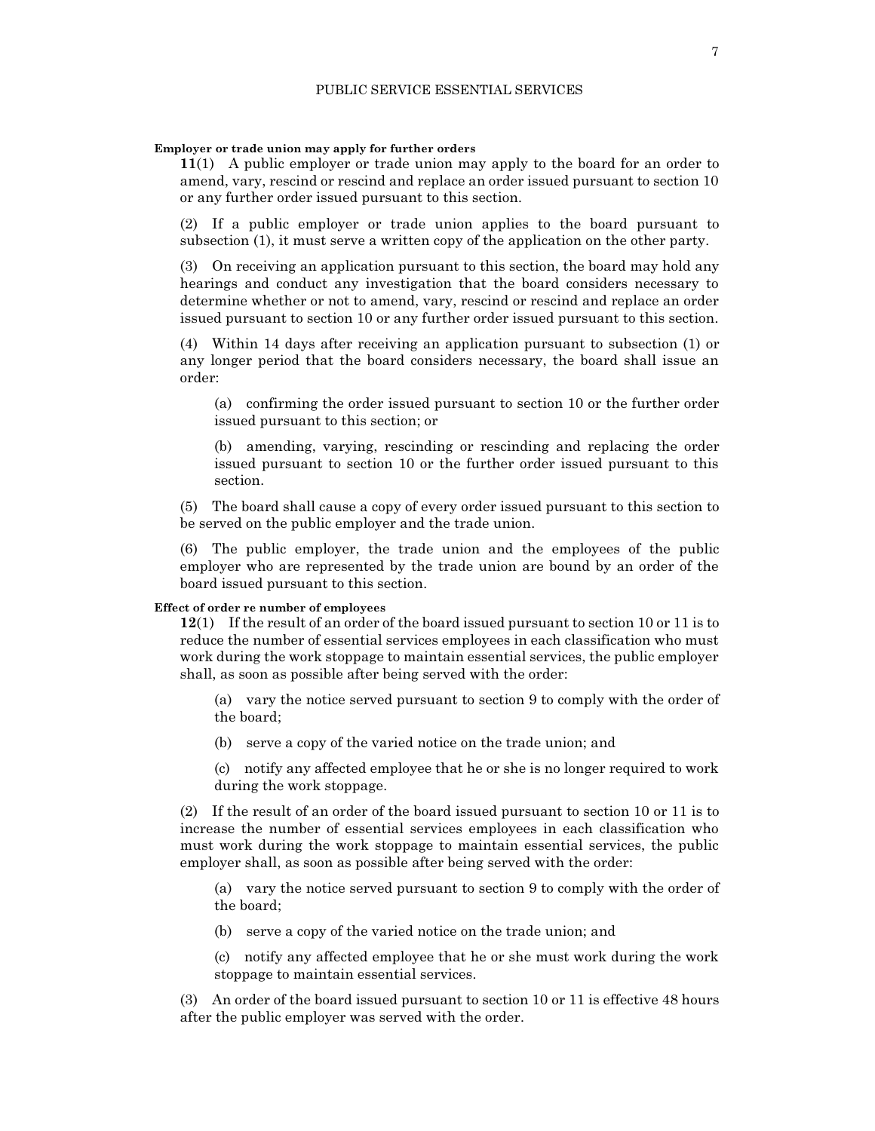#### Employer or trade union may apply for further orders

11(1) A public employer or trade union may apply to the board for an order to amend, vary, rescind or rescind and replace an order issued pursuant to section 10 or any further order issued pursuant to this section.

(2) If a public employer or trade union applies to the board pursuant to subsection (1), it must serve a written copy of the application on the other party.

(3) On receiving an application pursuant to this section, the board may hold any hearings and conduct any investigation that the board considers necessary to determine whether or not to amend, vary, rescind or rescind and replace an order issued pursuant to section 10 or any further order issued pursuant to this section.

(4) Within 14 days after receiving an application pursuant to subsection (1) or any longer period that the board considers necessary, the board shall issue an order:

(a) confirming the order issued pursuant to section 10 or the further order issued pursuant to this section; or

(b) amending, varying, rescinding or rescinding and replacing the order issued pursuant to section 10 or the further order issued pursuant to this section.

(5) The board shall cause a copy of every order issued pursuant to this section to be served on the public employer and the trade union.

(6) The public employer, the trade union and the employees of the public employer who are represented by the trade union are bound by an order of the board issued pursuant to this section.

#### Effect of order re number of employees

12(1) If the result of an order of the board issued pursuant to section 10 or 11 is to reduce the number of essential services employees in each classification who must work during the work stoppage to maintain essential services, the public employer shall, as soon as possible after being served with the order:

(a) vary the notice served pursuant to section 9 to comply with the order of the board;

(b) serve a copy of the varied notice on the trade union; and

(c) notify any affected employee that he or she is no longer required to work during the work stoppage.

(2) If the result of an order of the board issued pursuant to section 10 or 11 is to increase the number of essential services employees in each classification who must work during the work stoppage to maintain essential services, the public employer shall, as soon as possible after being served with the order:

(a) vary the notice served pursuant to section 9 to comply with the order of the board;

(b) serve a copy of the varied notice on the trade union; and

(c) notify any affected employee that he or she must work during the work stoppage to maintain essential services.

(3) An order of the board issued pursuant to section 10 or 11 is effective 48 hours after the public employer was served with the order.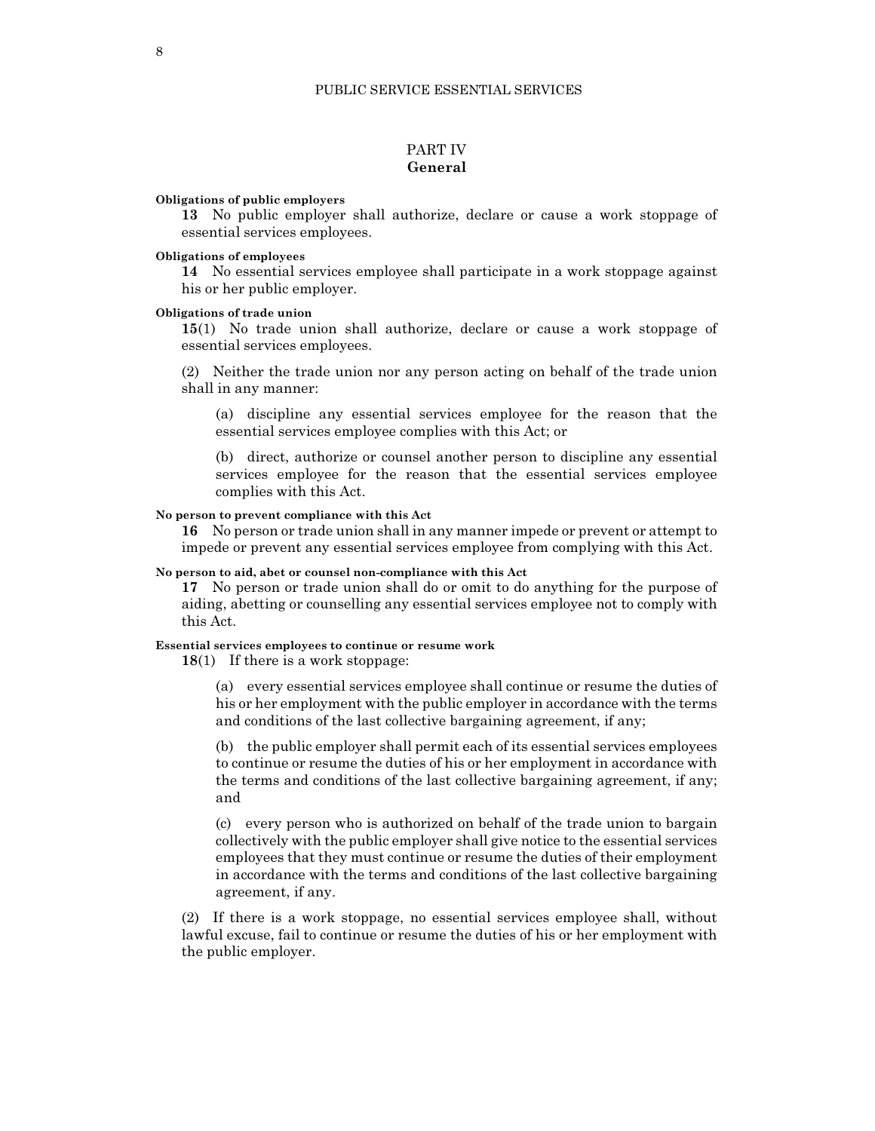# PART IV General

Obligations of public employers

13 No public employer shall authorize, declare or cause a work stoppage of essential services employees.

#### Obligations of employees

14 No essential services employee shall participate in a work stoppage against his or her public employer.

## Obligations of trade union

15(1) No trade union shall authorize, declare or cause a work stoppage of essential services employees.

(2) Neither the trade union nor any person acting on behalf of the trade union shall in any manner:

(a) discipline any essential services employee for the reason that the essential services employee complies with this Act; or

(b) direct, authorize or counsel another person to discipline any essential services employee for the reason that the essential services employee complies with this Act.

#### No person to prevent compliance with this Act

16 No person or trade union shall in any manner impede or prevent or attempt to impede or prevent any essential services employee from complying with this Act.

#### No person to aid, abet or counsel non-compliance with this Act

17 No person or trade union shall do or omit to do anything for the purpose of aiding, abetting or counselling any essential services employee not to comply with this Act.

## Essential services employees to continue or resume work

18(1) If there is a work stoppage:

(a) every essential services employee shall continue or resume the duties of his or her employment with the public employer in accordance with the terms and conditions of the last collective bargaining agreement, if any;

(b) the public employer shall permit each of its essential services employees to continue or resume the duties of his or her employment in accordance with the terms and conditions of the last collective bargaining agreement, if any; and

(c) every person who is authorized on behalf of the trade union to bargain collectively with the public employer shall give notice to the essential services employees that they must continue or resume the duties of their employment in accordance with the terms and conditions of the last collective bargaining agreement, if any.

(2) If there is a work stoppage, no essential services employee shall, without lawful excuse, fail to continue or resume the duties of his or her employment with the public employer.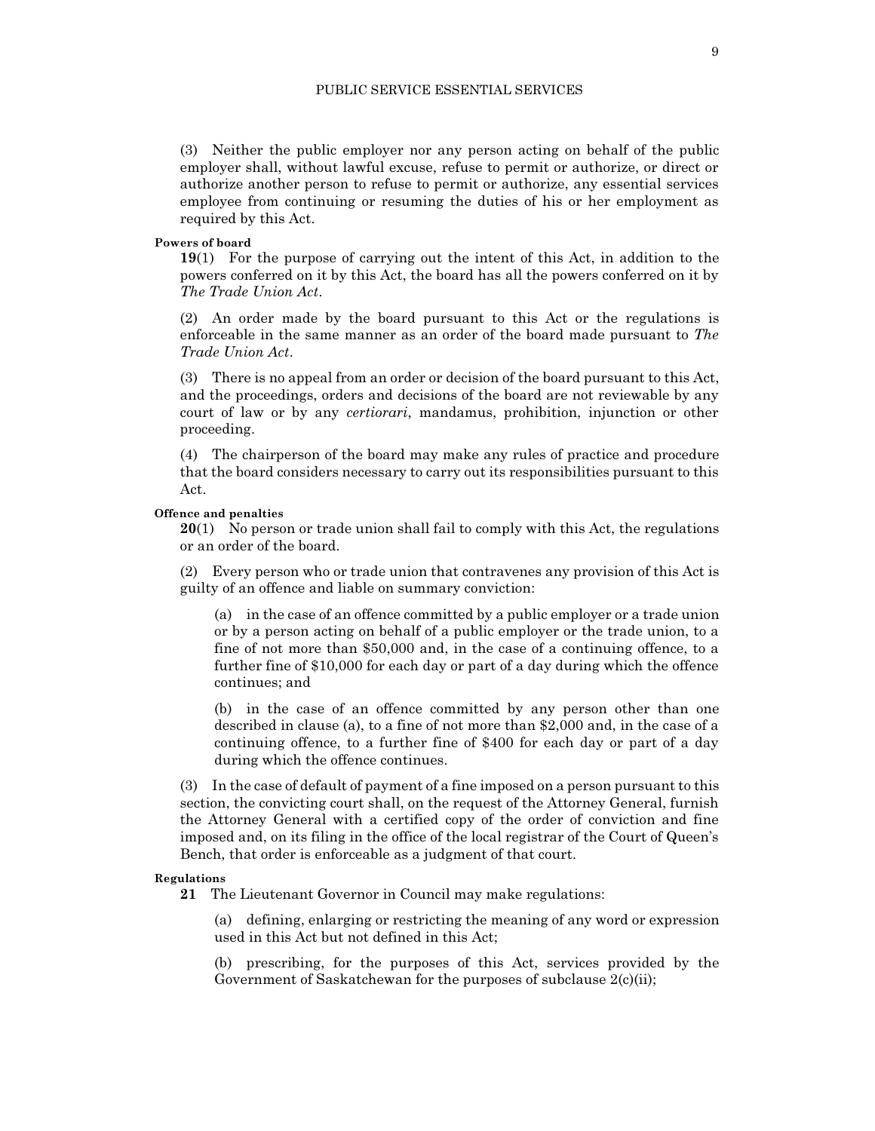(3) Neither the public employer nor any person acting on behalf of the public employer shall, without lawful excuse, refuse to permit or authorize, or direct or authorize another person to refuse to permit or authorize, any essential services employee from continuing or resuming the duties of his or her employment as required by this Act.

#### Powers of board

19(1) For the purpose of carrying out the intent of this Act, in addition to the powers conferred on it by this Act, the board has all the powers conferred on it by The Trade Union Act.

(2) An order made by the board pursuant to this Act or the regulations is enforceable in the same manner as an order of the board made pursuant to The Trade Union Act.

(3) There is no appeal from an order or decision of the board pursuant to this Act, and the proceedings, orders and decisions of the board are not reviewable by any court of law or by any certiorari, mandamus, prohibition, injunction or other proceeding.

(4) The chairperson of the board may make any rules of practice and procedure that the board considers necessary to carry out its responsibilities pursuant to this Act.

#### Offence and penalties

20(1) No person or trade union shall fail to comply with this Act, the regulations or an order of the board.

(2) Every person who or trade union that contravenes any provision of this Act is guilty of an offence and liable on summary conviction:

(a) in the case of an offence committed by a public employer or a trade union or by a person acting on behalf of a public employer or the trade union, to a fine of not more than \$50,000 and, in the case of a continuing offence, to a further fine of \$10,000 for each day or part of a day during which the offence continues; and

(b) in the case of an offence committed by any person other than one described in clause (a), to a fine of not more than \$2,000 and, in the case of a continuing offence, to a further fine of \$400 for each day or part of a day during which the offence continues.

(3) In the case of default of payment of a fine imposed on a person pursuant to this section, the convicting court shall, on the request of the Attorney General, furnish the Attorney General with a certified copy of the order of conviction and fine imposed and, on its filing in the office of the local registrar of the Court of Queen's Bench, that order is enforceable as a judgment of that court.

## Regulations

21 The Lieutenant Governor in Council may make regulations:

(a) defining, enlarging or restricting the meaning of any word or expression used in this Act but not defined in this Act;

(b) prescribing, for the purposes of this Act, services provided by the Government of Saskatchewan for the purposes of subclause  $2(c)(ii)$ ;